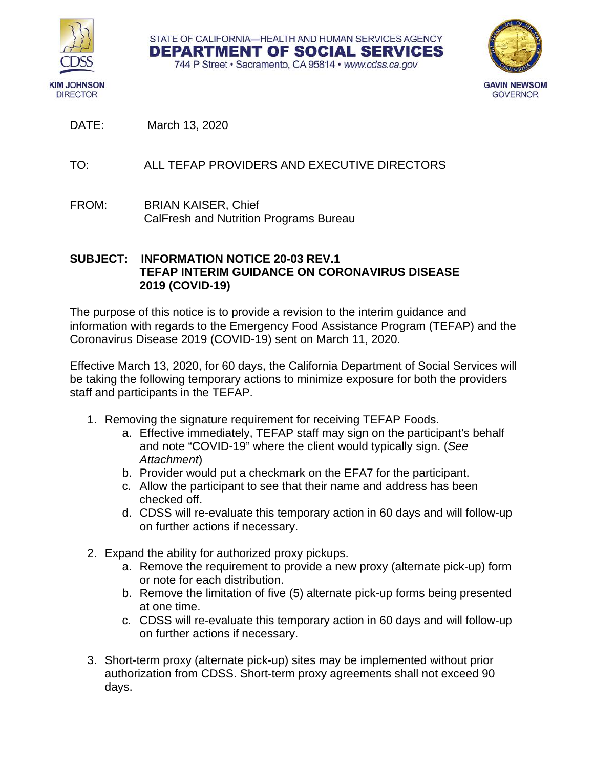

**DIRECTOR** 



744 P Street · Sacramento, CA 95814 · www.cdss.ca.gov

STATE OF CALIFORNIA-HEALTH AND HUMAN SERVICES AGENCY DEPARTMENT OF SOCIAL SERVICES

DATE: March 13, 2020

- TO: ALL TEFAP PROVIDERS AND EXECUTIVE DIRECTORS
- FROM: BRIAN KAISER, Chief CalFresh and Nutrition Programs Bureau

## **SUBJECT: INFORMATION NOTICE 20-03 REV.1 TEFAP INTERIM GUIDANCE ON CORONAVIRUS DISEASE 2019 (COVID-19)**

The purpose of this notice is to provide a revision to the interim guidance and information with regards to the Emergency Food Assistance Program (TEFAP) and the Coronavirus Disease 2019 (COVID-19) sent on March 11, 2020.

Effective March 13, 2020, for 60 days, the California Department of Social Services will be taking the following temporary actions to minimize exposure for both the providers staff and participants in the TEFAP.

- 1. Removing the signature requirement for receiving TEFAP Foods.
	- a. Effective immediately, TEFAP staff may sign on the participant's behalf and note "COVID-19" where the client would typically sign. (*See Attachment*)
	- b. Provider would put a checkmark on the EFA7 for the participant.
	- c. Allow the participant to see that their name and address has been checked off.
	- d. CDSS will re-evaluate this temporary action in 60 days and will follow-up on further actions if necessary.
- 2. Expand the ability for authorized proxy pickups.
	- a. Remove the requirement to provide a new proxy (alternate pick-up) form or note for each distribution.
	- b. Remove the limitation of five (5) alternate pick-up forms being presented at one time.
	- c. CDSS will re-evaluate this temporary action in 60 days and will follow-up on further actions if necessary.
- 3. Short-term proxy (alternate pick-up) sites may be implemented without prior authorization from CDSS. Short-term proxy agreements shall not exceed 90 days.